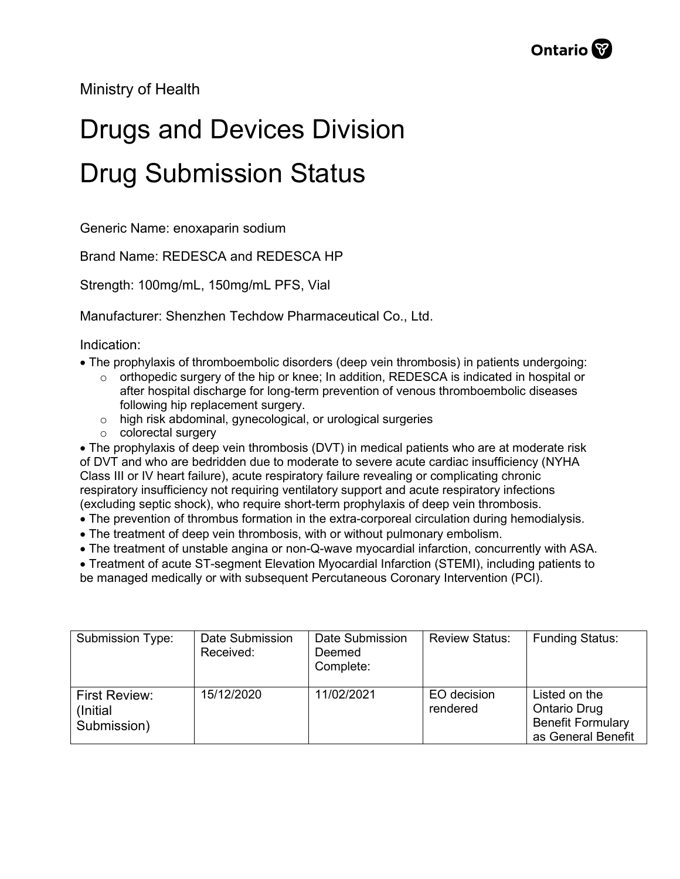Ministry of Health

## Drugs and Devices Division Drug Submission Status

Generic Name: enoxaparin sodium

Brand Name: REDESCA and REDESCA HP

Strength: 100mg/mL, 150mg/mL PFS, Vial

Manufacturer: Shenzhen Techdow Pharmaceutical Co., Ltd.

Indication:

- The prophylaxis of thromboembolic disorders (deep vein thrombosis) in patients undergoing:
	- $\circ$  orthopedic surgery of the hip or knee; In addition, REDESCA is indicated in hospital or after hospital discharge for long-term prevention of venous thromboembolic diseases following hip replacement surgery.
	- o high risk abdominal, gynecological, or urological surgeries
	- o colorectal surgery

• The prophylaxis of deep vein thrombosis (DVT) in medical patients who are at moderate risk of DVT and who are bedridden due to moderate to severe acute cardiac insufficiency (NYHA Class III or IV heart failure), acute respiratory failure revealing or complicating chronic respiratory insufficiency not requiring ventilatory support and acute respiratory infections (excluding septic shock), who require short-term prophylaxis of deep vein thrombosis.

- The prevention of thrombus formation in the extra-corporeal circulation during hemodialysis.
- The treatment of deep vein thrombosis, with or without pulmonary embolism.
- The treatment of unstable angina or non-Q-wave myocardial infarction, concurrently with ASA.

• Treatment of acute ST-segment Elevation Myocardial Infarction (STEMI), including patients to be managed medically or with subsequent Percutaneous Coronary Intervention (PCI).

| Submission Type:                                 | Date Submission<br>Received: | Date Submission<br>Deemed<br>Complete: | <b>Review Status:</b>   | <b>Funding Status:</b>                                                                 |
|--------------------------------------------------|------------------------------|----------------------------------------|-------------------------|----------------------------------------------------------------------------------------|
| <b>First Review:</b><br>(Initial)<br>Submission) | 15/12/2020                   | 11/02/2021                             | EO decision<br>rendered | Listed on the<br><b>Ontario Drug</b><br><b>Benefit Formulary</b><br>as General Benefit |